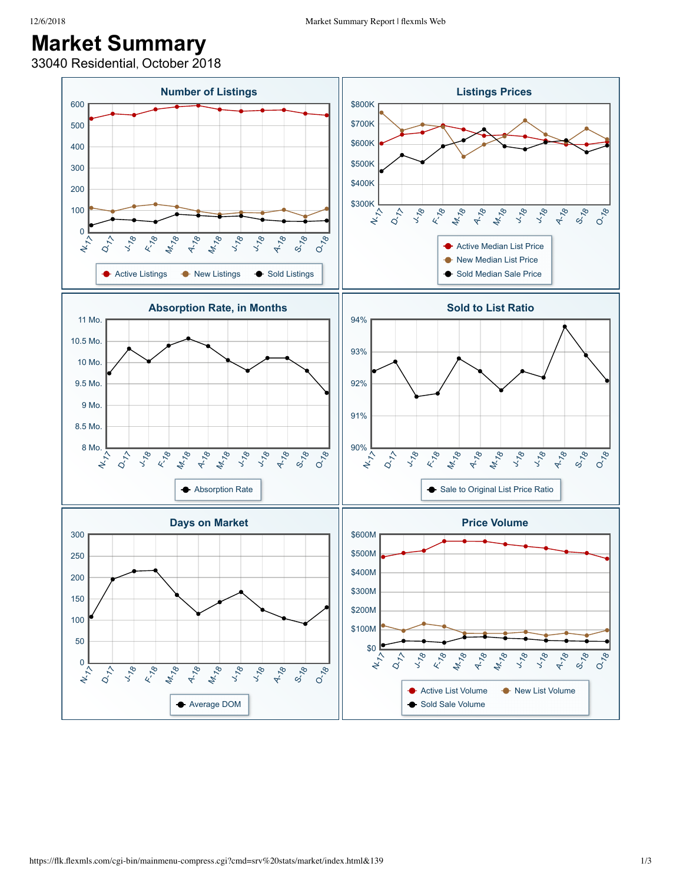## **Market Summary**

33040 Residential, October 2018

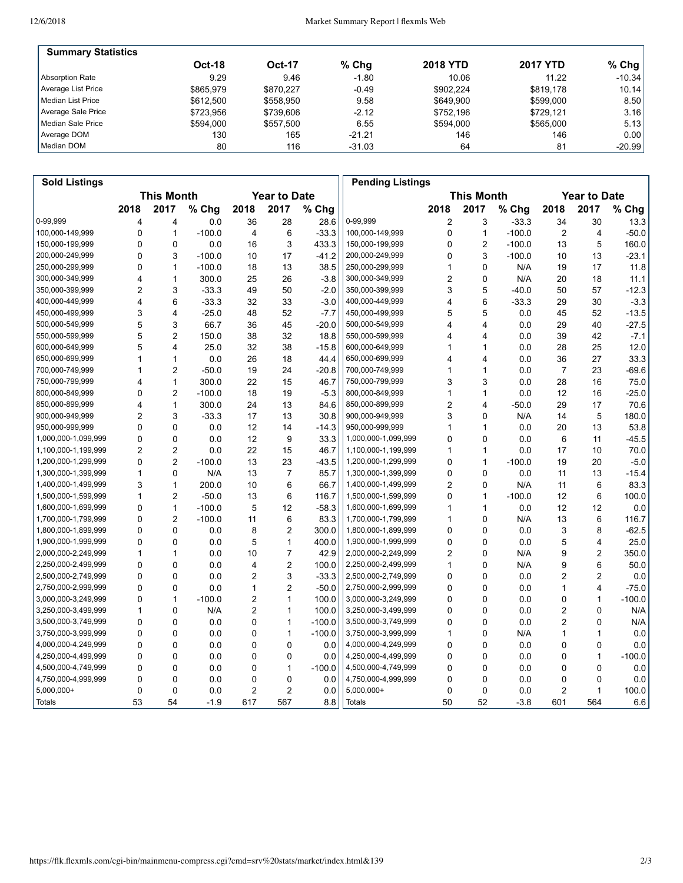| <b>Summary Statistics</b> |               |           |          |                 |                 |          |
|---------------------------|---------------|-----------|----------|-----------------|-----------------|----------|
|                           | <b>Oct-18</b> | Oct-17    | $%$ Chg  | <b>2018 YTD</b> | <b>2017 YTD</b> | $%$ Chg  |
| Absorption Rate           | 9.29          | 9.46      | $-1.80$  | 10.06           | 11.22           | $-10.34$ |
| Average List Price        | \$865.979     | \$870.227 | $-0.49$  | \$902.224       | \$819.178       | 10.14    |
| Median List Price         | \$612,500     | \$558.950 | 9.58     | \$649.900       | \$599,000       | 8.50     |
| Average Sale Price        | \$723.956     | \$739.606 | $-2.12$  | \$752.196       | \$729.121       | 3.16     |
| Median Sale Price         | \$594.000     | \$557.500 | 6.55     | \$594.000       | \$565,000       | 5.13     |
| Average DOM               | 130           | 165       | $-21.21$ | 146             | 146             | 0.001    |
| Median DOM                | 80            | 116       | $-31.03$ | 64              | 81              | $-20.99$ |

| <b>Sold Listings</b> |                                          |                         |          |                |                |                                          | <b>Pending Listings</b> |      |                |          |      |                |          |
|----------------------|------------------------------------------|-------------------------|----------|----------------|----------------|------------------------------------------|-------------------------|------|----------------|----------|------|----------------|----------|
|                      | <b>This Month</b><br><b>Year to Date</b> |                         |          |                |                | <b>This Month</b><br><b>Year to Date</b> |                         |      |                |          |      |                |          |
|                      | 2018                                     | 2017                    | % Chg    | 2018           | 2017           | % Chg                                    |                         | 2018 | 2017           | % Chg    | 2018 | 2017           | % Chg    |
| 0-99,999             | 4                                        | 4                       | 0.0      | 36             | 28             | 28.6                                     | 0-99,999                | 2    | 3              | $-33.3$  | 34   | 30             | 13.3     |
| 100,000-149,999      | 0                                        | $\mathbf{1}$            | $-100.0$ | 4              | 6              | $-33.3$                                  | 100,000-149,999         | 0    | $\mathbf{1}$   | $-100.0$ | 2    | 4              | $-50.0$  |
| 150,000-199,999      | 0                                        | $\mathbf 0$             | 0.0      | 16             | 3              | 433.3                                    | 150,000-199,999         | 0    | $\overline{2}$ | $-100.0$ | 13   | 5              | 160.0    |
| 200,000-249,999      | 0                                        | 3                       | $-100.0$ | 10             | 17             | $-41.2$                                  | 200,000-249,999         | 0    | 3              | $-100.0$ | 10   | 13             | $-23.1$  |
| 250,000-299,999      | 0                                        | $\mathbf{1}$            | $-100.0$ | 18             | 13             | 38.5                                     | 250,000-299,999         | 1    | $\mathbf 0$    | N/A      | 19   | 17             | 11.8     |
| 300,000-349,999      | 4                                        | $\mathbf{1}$            | 300.0    | 25             | 26             | $-3.8$                                   | 300,000-349,999         | 2    | $\Omega$       | N/A      | 20   | 18             | 11.1     |
| 350,000-399,999      | $\overline{2}$                           | 3                       | $-33.3$  | 49             | 50             | $-2.0$                                   | 350,000-399,999         | 3    | 5              | $-40.0$  | 50   | 57             | $-12.3$  |
| 400,000-449,999      | $\overline{\mathbf{4}}$                  | 6                       | $-33.3$  | 32             | 33             | $-3.0$                                   | 400,000-449,999         | 4    | 6              | $-33.3$  | 29   | 30             | $-3.3$   |
| 450,000-499,999      | 3                                        | 4                       | $-25.0$  | 48             | 52             | $-7.7$                                   | 450,000-499,999         | 5    | 5              | 0.0      | 45   | 52             | $-13.5$  |
| 500,000-549,999      | 5                                        | 3                       | 66.7     | 36             | 45             | $-20.0$                                  | 500,000-549,999         | 4    | 4              | 0.0      | 29   | 40             | $-27.5$  |
| 550,000-599,999      | 5                                        | $\overline{2}$          | 150.0    | 38             | 32             | 18.8                                     | 550,000-599,999         | Δ    | 4              | 0.0      | 39   | 42             | $-7.1$   |
| 600,000-649,999      | 5                                        | $\overline{4}$          | 25.0     | 32             | 38             | $-15.8$                                  | 600,000-649,999         | 1    | $\mathbf{1}$   | 0.0      | 28   | 25             | 12.0     |
| 650,000-699,999      | 1                                        | $\mathbf{1}$            | 0.0      | 26             | 18             | 44.4                                     | 650,000-699,999         | 4    | 4              | 0.0      | 36   | 27             | 33.3     |
| 700,000-749,999      | 1                                        | $\overline{2}$          | $-50.0$  | 19             | 24             | $-20.8$                                  | 700,000-749,999         | 1    | $\mathbf{1}$   | 0.0      | 7    | 23             | $-69.6$  |
| 750,000-799,999      | 4                                        | $\mathbf{1}$            | 300.0    | 22             | 15             | 46.7                                     | 750,000-799,999         | 3    | 3              | 0.0      | 28   | 16             | 75.0     |
| 800,000-849,999      | 0                                        | $\overline{2}$          | $-100.0$ | 18             | 19             | $-5.3$                                   | 800,000-849,999         | 1    | $\mathbf{1}$   | 0.0      | 12   | 16             | $-25.0$  |
| 850,000-899,999      | 4                                        | $\mathbf{1}$            | 300.0    | 24             | 13             | 84.6                                     | 850,000-899,999         | 2    | 4              | $-50.0$  | 29   | 17             | 70.6     |
| 900,000-949,999      | $\overline{2}$                           | 3                       | $-33.3$  | 17             | 13             | 30.8                                     | 900,000-949,999         | 3    | 0              | N/A      | 14   | 5              | 180.0    |
| 950,000-999,999      | 0                                        | $\mathbf 0$             | 0.0      | 12             | 14             | $-14.3$                                  | 950,000-999,999         | 1    | $\mathbf{1}$   | 0.0      | 20   | 13             | 53.8     |
| 1,000,000-1,099,999  | 0                                        | 0                       | 0.0      | 12             | 9              | 33.3                                     | 1,000,000-1,099,999     | 0    | $\mathbf 0$    | 0.0      | 6    | 11             | $-45.5$  |
| 1,100,000-1,199,999  | 2                                        | $\overline{2}$          | 0.0      | 22             | 15             | 46.7                                     | 1,100,000-1,199,999     | 1    | $\mathbf{1}$   | 0.0      | 17   | 10             | 70.0     |
| 1,200,000-1,299,999  | $\mathbf 0$                              | $\overline{c}$          | $-100.0$ | 13             | 23             | $-43.5$                                  | 1,200,000-1,299,999     | 0    | $\mathbf{1}$   | $-100.0$ | 19   | 20             | $-5.0$   |
| 1,300,000-1,399,999  | 1                                        | $\mathbf 0$             | N/A      | 13             | $\overline{7}$ | 85.7                                     | 1,300,000-1,399,999     | 0    | $\mathbf 0$    | 0.0      | 11   | 13             | $-15.4$  |
| 1,400,000-1,499,999  | 3                                        | $\mathbf{1}$            | 200.0    | 10             | 6              | 66.7                                     | 1,400,000-1,499,999     | 2    | $\mathbf 0$    | N/A      | 11   | 6              | 83.3     |
| 1,500,000-1,599,999  | $\mathbf{1}$                             | $\overline{2}$          | $-50.0$  | 13             | 6              | 116.7                                    | 1,500,000-1,599,999     | 0    | $\mathbf{1}$   | $-100.0$ | 12   | 6              | 100.0    |
| 1,600,000-1,699,999  | 0                                        | $\mathbf{1}$            | $-100.0$ | 5              | 12             | $-58.3$                                  | 1,600,000-1,699,999     | 1    | $\mathbf{1}$   | 0.0      | 12   | 12             | 0.0      |
| 1,700,000-1,799,999  | $\mathbf 0$                              | $\overline{\mathbf{c}}$ | $-100.0$ | 11             | 6              | 83.3                                     | 1,700,000-1,799,999     | 1    | $\Omega$       | N/A      | 13   | 6              | 116.7    |
| 1,800,000-1,899,999  | 0                                        | $\mathbf 0$             | 0.0      | 8              | $\overline{c}$ | 300.0                                    | 1,800,000-1,899,999     | 0    | $\mathbf 0$    | 0.0      | 3    | 8              | $-62.5$  |
| 1,900,000-1,999,999  | $\mathbf 0$                              | 0                       | 0.0      | 5              | 1              | 400.0                                    | 1,900,000-1,999,999     | 0    | $\mathbf 0$    | 0.0      | 5    | 4              | 25.0     |
| 2,000,000-2,249,999  | 1                                        | $\mathbf{1}$            | 0.0      | 10             | $\overline{7}$ | 42.9                                     | 2,000,000-2,249,999     | 2    | $\mathbf 0$    | N/A      | 9    | 2              | 350.0    |
| 2,250,000-2,499,999  | 0                                        | 0                       | 0.0      | 4              | $\overline{2}$ | 100.0                                    | 2,250,000-2,499,999     | 1    | 0              | N/A      | 9    | 6              | 50.0     |
| 2,500,000-2,749,999  | 0                                        | $\mathbf 0$             | 0.0      | 2              | 3              | $-33.3$                                  | 2,500,000-2,749,999     | 0    | $\mathbf 0$    | 0.0      | 2    | $\overline{2}$ | 0.0      |
| 2,750,000-2,999,999  | 0                                        | $\mathbf 0$             | 0.0      | 1              | $\overline{2}$ | $-50.0$                                  | 2,750,000-2,999,999     | 0    | $\mathbf 0$    | 0.0      | 1    | 4              | $-75.0$  |
| 3,000,000-3,249,999  | $\mathbf 0$                              | $\mathbf{1}$            | $-100.0$ | $\overline{c}$ | 1              | 100.0                                    | 3,000,000-3,249,999     | 0    | $\mathbf 0$    | 0.0      | 0    | 1              | $-100.0$ |
| 3,250,000-3,499,999  | 1                                        | $\mathbf 0$             | N/A      | 2              | 1              | 100.0                                    | 3,250,000-3,499,999     | 0    | $\mathbf 0$    | 0.0      | 2    | 0              | N/A      |
| 3,500,000-3,749,999  | 0                                        | 0                       | 0.0      | 0              | 1              | $-100.0$                                 | 3,500,000-3,749,999     | 0    | 0              | 0.0      | 2    | 0              | N/A      |
| 3,750,000-3,999,999  | 0                                        | $\Omega$                | 0.0      | 0              | 1              | $-100.0$                                 | 3,750,000-3,999,999     | 1    | $\mathbf 0$    | N/A      | 1    | 1              | 0.0      |
| 4,000,000-4,249,999  | 0                                        | $\Omega$                | 0.0      | 0              | 0              | 0.0                                      | 4,000,000-4,249,999     | 0    | $\Omega$       | 0.0      | 0    | 0              | 0.0      |
| 4,250,000-4,499,999  | $\mathbf 0$                              | $\mathbf 0$             | 0.0      | 0              | 0              | 0.0                                      | 4,250,000-4,499,999     | 0    | $\mathbf 0$    | 0.0      | 0    | $\mathbf{1}$   | $-100.0$ |
| 4,500,000-4,749,999  | 0                                        | $\mathbf 0$             | 0.0      | 0              | $\mathbf{1}$   | $-100.0$                                 | 4,500,000-4,749,999     | 0    | $\mathbf 0$    | 0.0      | 0    | 0              | 0.0      |
| 4,750,000-4,999,999  | 0                                        | 0                       | 0.0      | 0              | 0              | 0.0                                      | 4,750,000-4,999,999     | 0    | 0              | 0.0      | 0    | 0              | 0.0      |
| 5,000,000+           | 0                                        | $\mathbf 0$             | 0.0      | 2              | $\overline{2}$ | 0.0                                      | 5,000,000+              | 0    | $\mathbf 0$    | 0.0      | 2    | 1              | 100.0    |
| Totals               | 53                                       | 54                      | $-1.9$   | 617            | 567            | 8.8                                      | <b>Totals</b>           | 50   | 52             | $-3.8$   | 601  | 564            | 6.6      |
|                      |                                          |                         |          |                |                |                                          |                         |      |                |          |      |                |          |